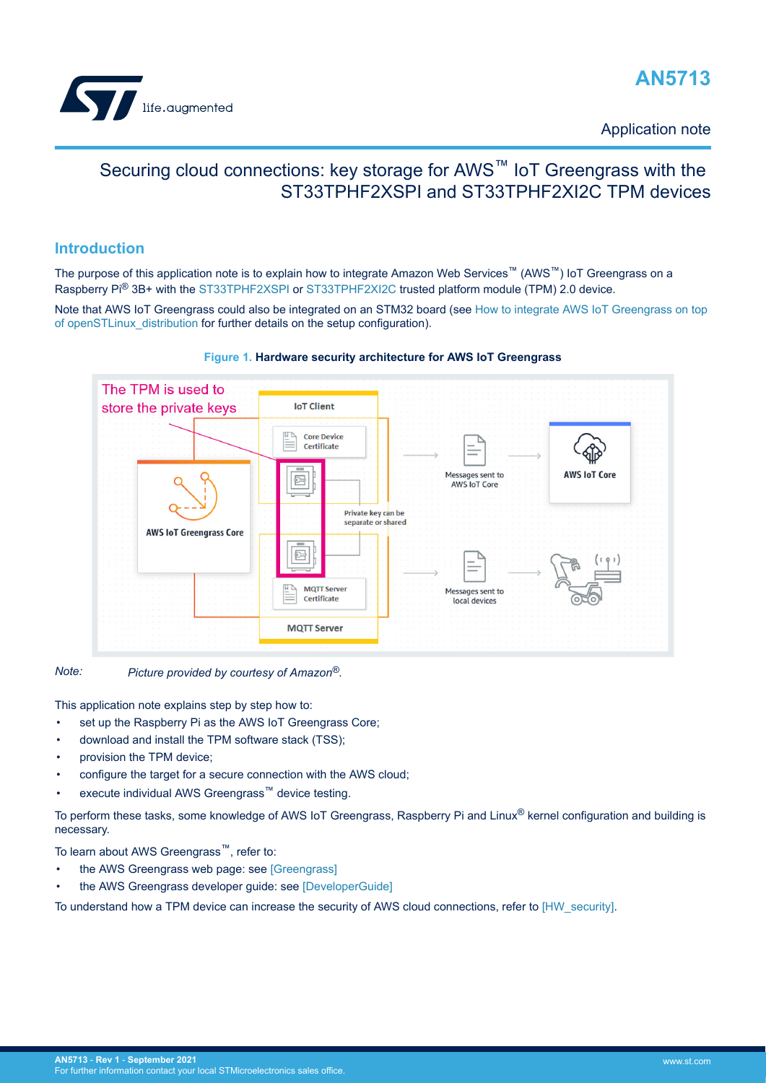

Application note

# Securing cloud connections: key storage for AWS<sup>™</sup> IoT Greengrass with the ST33TPHF2XSPI and ST33TPHF2XI2C TPM devices

## **Introduction**

The purpose of this application note is to explain how to integrate Amazon Web Services™ (AWS™) IoT Greengrass on a Raspberry Pi® 3B+ with the [ST33TPHF2XSPI](https://www.st.com/en/product/st33tphf2xspi?ecmp=tt9470_gl_link_feb2019&rt=an&id=AN5713) or [ST33TPHF2XI2C](https://www.st.com/en/product/st33tphf2xi2c?ecmp=tt9470_gl_link_feb2019&rt=an&id=AN5713) trusted platform module (TPM) 2.0 device.

Note that AWS IoT Greengrass could also be integrated on an STM32 board (see [How to integrate AWS IoT Greengrass on top](https://wiki.st.com/stm32mpu/index.php/How_to_integrate_AWS_IoT_Greengrass_on_top_of_openSTLinux_distribution) [of openSTLinux\\_distribution](https://wiki.st.com/stm32mpu/index.php/How_to_integrate_AWS_IoT_Greengrass_on_top_of_openSTLinux_distribution) for further details on the setup configuration).



#### **Figure 1. Hardware security architecture for AWS IoT Greengrass**

This application note explains step by step how to:

*Note: Picture provided by courtesy of Amazon®.*

- set up the Raspberry Pi as the AWS IoT Greengrass Core;
- download and install the TPM software stack (TSS);
- provision the TPM device;
- configure the target for a secure connection with the AWS cloud;
- execute individual AWS Greengrass™ device testing.

To perform these tasks, some knowledge of AWS IoT Greengrass, Raspberry Pi and Linux® kernel configuration and building is necessary.

To learn about AWS Greengrass™, refer to:

- the AWS Greengrass web page: see [\[Greengrass\]](#page-2-0)
- the AWS Greengrass developer guide: see [\[DeveloperGuide\]](#page-2-0)

To understand how a TPM device can increase the security of AWS cloud connections, refer to [\[HW\\_security\]](#page-2-0).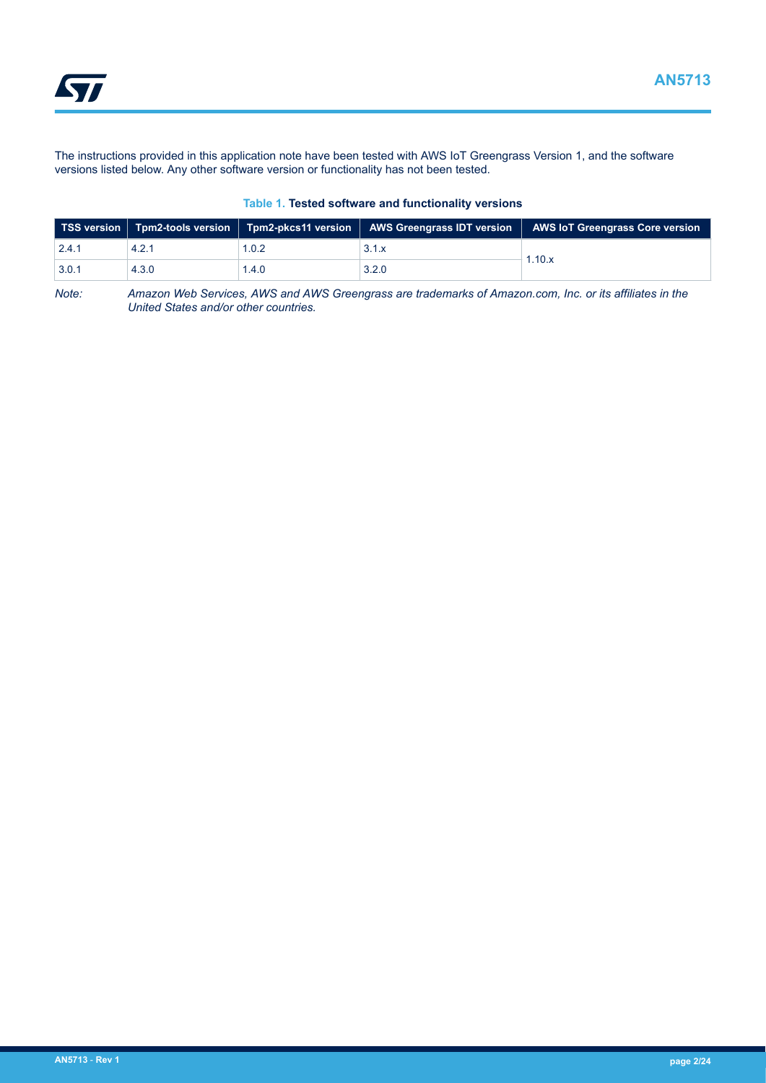<span id="page-1-0"></span>**STI** 

The instructions provided in this application note have been tested with AWS IoT Greengrass Version 1, and the software versions listed below. Any other software version or functionality has not been tested.

#### **Table 1. Tested software and functionality versions**

|       |       |       |       | TSS version   Tpm2-tools version   Tpm2-pkcs11 version   AWS Greengrass IDT version   AWS IoT Greengrass Core version |
|-------|-------|-------|-------|-----------------------------------------------------------------------------------------------------------------------|
| 2.4.1 | 4.2.1 | 1.0.2 | 3.1.x | 1.10.x                                                                                                                |
| 3.0.1 | 4.3.0 | 1.4.0 | 3.2.0 |                                                                                                                       |

*Note: Amazon Web Services, AWS and AWS Greengrass are trademarks of Amazon.com, Inc. or its affiliates in the United States and/or other countries.*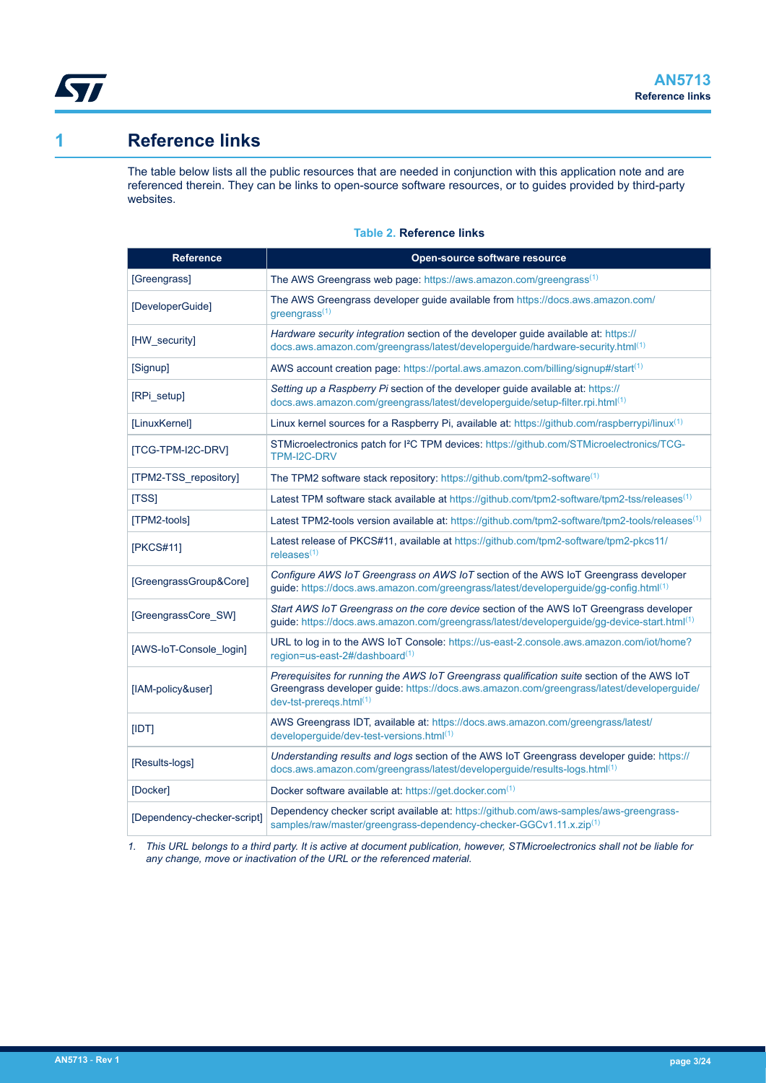<span id="page-2-0"></span>

# **1 Reference links**

The table below lists all the public resources that are needed in conjunction with this application note and are referenced therein. They can be links to open-source software resources, or to guides provided by third-party websites.

#### **Table 2. Reference links**

| <b>Reference</b>            | Open-source software resource                                                                                                                                                                                         |
|-----------------------------|-----------------------------------------------------------------------------------------------------------------------------------------------------------------------------------------------------------------------|
| [Greengrass]                | The AWS Greengrass web page: https://aws.amazon.com/greengrass <sup>(1)</sup>                                                                                                                                         |
| [DeveloperGuide]            | The AWS Greengrass developer guide available from https://docs.aws.amazon.com/<br>$g$ reengrass <sup>(1)</sup>                                                                                                        |
| [HW_security]               | Hardware security integration section of the developer guide available at: https://<br>docs.aws.amazon.com/greengrass/latest/developerguide/hardware-security.html(1)                                                 |
| [Signup]                    | AWS account creation page: https://portal.aws.amazon.com/billing/signup#/start <sup>(1)</sup>                                                                                                                         |
| [RPi_setup]                 | Setting up a Raspberry Pi section of the developer guide available at: https://<br>docs.aws.amazon.com/greengrass/latest/developerguide/setup-filter.rpi.html(1)                                                      |
| [LinuxKernel]               | Linux kernel sources for a Raspberry Pi, available at: https://github.com/raspberrypi/linux <sup>(1)</sup>                                                                                                            |
| <b>[TCG-TPM-I2C-DRV]</b>    | STMicroelectronics patch for I <sup>2</sup> C TPM devices: https://github.com/STMicroelectronics/TCG-<br>TPM-I2C-DRV                                                                                                  |
| [TPM2-TSS repository]       | The TPM2 software stack repository: https://github.com/tpm2-software(1)                                                                                                                                               |
| [TSS]                       | Latest TPM software stack available at https://github.com/tpm2-software/tpm2-tss/releases <sup>(1)</sup>                                                                                                              |
| [TPM2-tools]                | Latest TPM2-tools version available at: https://github.com/tpm2-software/tpm2-tools/releases <sup>(1)</sup>                                                                                                           |
| [PKCS#11]                   | Latest release of PKCS#11, available at https://github.com/tpm2-software/tpm2-pkcs11/<br>releases $(1)$                                                                                                               |
| [GreengrassGroup&Core]      | Configure AWS IoT Greengrass on AWS IoT section of the AWS IoT Greengrass developer<br>guide: https://docs.aws.amazon.com/greengrass/latest/developerguide/gg-config.html <sup>(1)</sup>                              |
| [GreengrassCore_SW]         | Start AWS IoT Greengrass on the core device section of the AWS IoT Greengrass developer<br>guide: https://docs.aws.amazon.com/greengrass/latest/developerguide/gg-device-start.html(1)                                |
| [AWS-IoT-Console login]     | URL to log in to the AWS IoT Console: https://us-east-2.console.aws.amazon.com/iot/home?<br>region=us-east-2#/dashboard(1)                                                                                            |
| [IAM-policy&user]           | Prerequisites for running the AWS IoT Greengrass qualification suite section of the AWS IoT<br>Greengrass developer guide: https://docs.aws.amazon.com/greengrass/latest/developerguide/<br>$dev-tst-preregs.html(1)$ |
| [IDT]                       | AWS Greengrass IDT, available at: https://docs.aws.amazon.com/greengrass/latest/<br>developerguide/dev-test-versions.html(1)                                                                                          |
| [Results-logs]              | Understanding results and logs section of the AWS IoT Greengrass developer guide: https://<br>docs.aws.amazon.com/greengrass/latest/developerguide/results-logs.html(1)                                               |
| [Docker]                    | Docker software available at: https://get.docker.com(1)                                                                                                                                                               |
| [Dependency-checker-script] | Dependency checker script available at: https://github.com/aws-samples/aws-greengrass-<br>samples/raw/master/greengrass-dependency-checker-GGCv1.11.x.zip(1)                                                          |

*1. This URL belongs to a third party. It is active at document publication, however, STMicroelectronics shall not be liable for any change, move or inactivation of the URL or the referenced material.*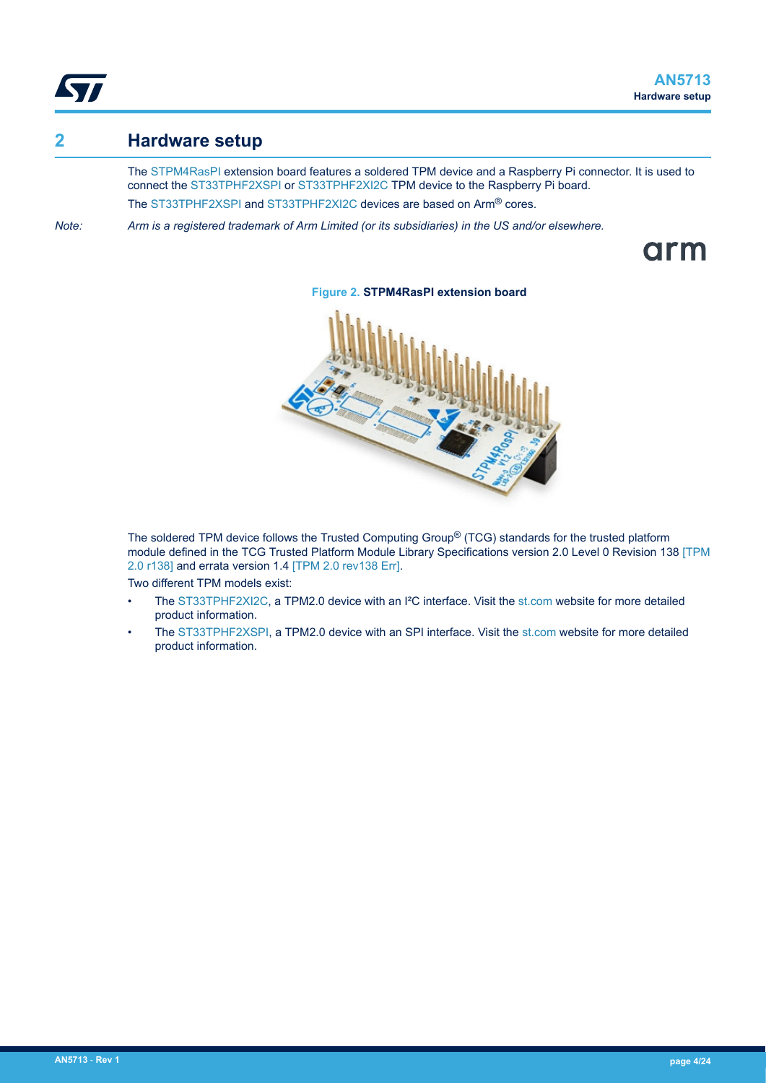<span id="page-3-0"></span>

## **2 Hardware setup**

The [STPM4RasPI](https://www.st.com/en/product/stpm4raspi?ecmp=tt9470_gl_link_feb2019&rt=an&id=AN5713) extension board features a soldered TPM device and a Raspberry Pi connector. It is used to connect the [ST33TPHF2XSPI](https://www.st.com/en/product/st33tphf2xspi?ecmp=tt9470_gl_link_feb2019&rt=an&id=AN5713) or [ST33TPHF2XI2C](https://www.st.com/en/product/st33tphf2xi2c?ecmp=tt9470_gl_link_feb2019&rt=an&id=AN5713) TPM device to the Raspberry Pi board. The [ST33TPHF2XSPI](https://www.st.com/en/product/st33tphf2xspi?ecmp=tt9470_gl_link_feb2019&rt=an&id=AN5713) and [ST33TPHF2XI2C](https://www.st.com/en/product/st33tphf2xi2c?ecmp=tt9470_gl_link_feb2019&rt=an&id=AN5713) devices are based on Arm® cores.

*Note: Arm is a registered trademark of Arm Limited (or its subsidiaries) in the US and/or elsewhere.*

arm



**Figure 2. STPM4RasPI extension board**

The soldered TPM device follows the Trusted Computing Group<sup>®</sup> (TCG) standards for the trusted platform module defined in the TCG Trusted Platform Module Library Specifications version 2.0 Level 0 Revision 138 [\[TPM](#page-18-0) [2.0 r138\]](#page-18-0) and errata version 1.4 [\[TPM 2.0 rev138 Err\].](#page-18-0)

Two different TPM models exist:

- The [ST33TPHF2XI2C,](https://www.st.com/en/product/st33tphf2xi2c?ecmp=tt9470_gl_link_feb2019&rt=an&id=AN5713) a TPM2.0 device with an I²C interface. Visit the [st.com](https://www.st.com/) website for more detailed product information.
- The [ST33TPHF2XSPI](https://www.st.com/en/product/st33tphf2xspi?ecmp=tt9470_gl_link_feb2019&rt=an&id=AN5713), a TPM2.0 device with an SPI interface. Visit the [st.com](https://www.st.com/) website for more detailed product information.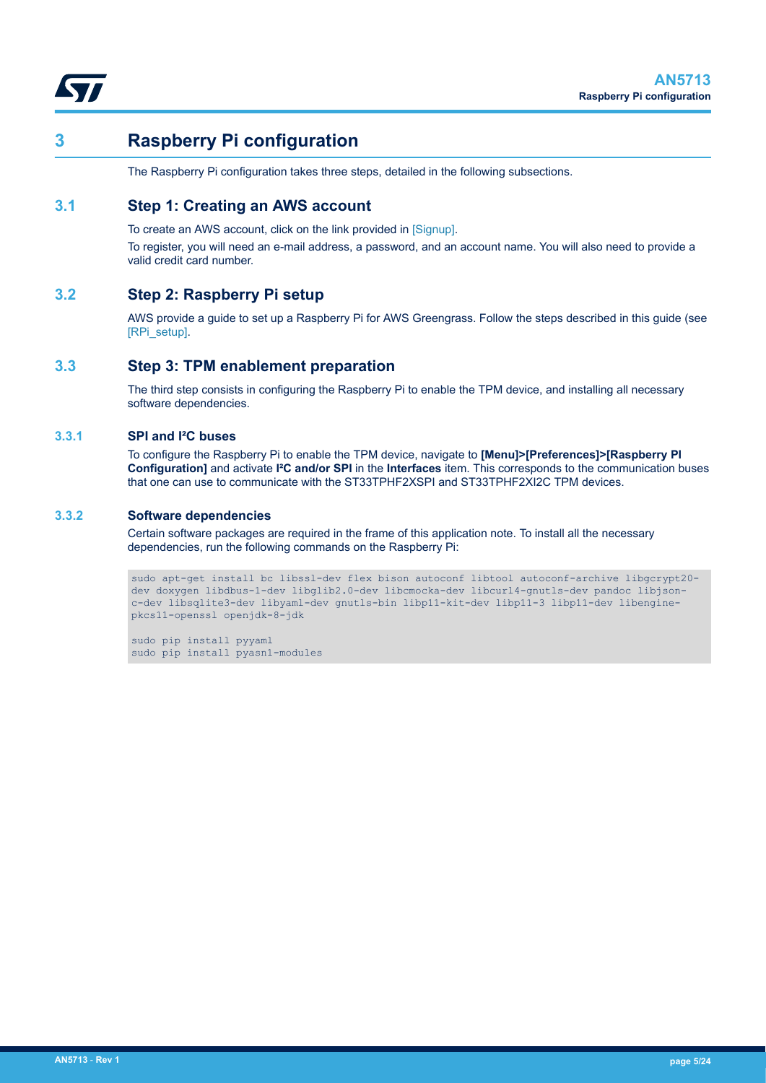<span id="page-4-0"></span>

# **3 Raspberry Pi configuration**

The Raspberry Pi configuration takes three steps, detailed in the following subsections.

## **3.1 Step 1: Creating an AWS account**

To create an AWS account, click on the link provided in [\[Signup\].](#page-2-0)

To register, you will need an e-mail address, a password, and an account name. You will also need to provide a valid credit card number.

### **3.2 Step 2: Raspberry Pi setup**

AWS provide a guide to set up a Raspberry Pi for AWS Greengrass. Follow the steps described in this guide (see [\[RPi\\_setup\].](#page-2-0)

#### **3.3 Step 3: TPM enablement preparation**

The third step consists in configuring the Raspberry Pi to enable the TPM device, and installing all necessary software dependencies.

#### **3.3.1 SPI and I²C buses**

To configure the Raspberry Pi to enable the TPM device, navigate to **[Menu]>[Preferences]>[Raspberry PI Configuration]** and activate **I²C and/or SPI** in the **Interfaces** item. This corresponds to the communication buses that one can use to communicate with the ST33TPHF2XSPI and ST33TPHF2XI2C TPM devices.

#### **3.3.2 Software dependencies**

Certain software packages are required in the frame of this application note. To install all the necessary dependencies, run the following commands on the Raspberry Pi:

```
sudo apt-get install bc libssl-dev flex bison autoconf libtool autoconf-archive libgcrypt20-
dev doxygen libdbus-1-dev libglib2.0-dev libcmocka-dev libcurl4-gnutls-dev pandoc libjson-
c-dev libsqlite3-dev libyaml-dev gnutls-bin libp11-kit-dev libp11-3 libp11-dev libengine-
pkcs11-openssl openjdk-8-jdk
```
sudo pip install pyyaml sudo pip install pyasn1-modules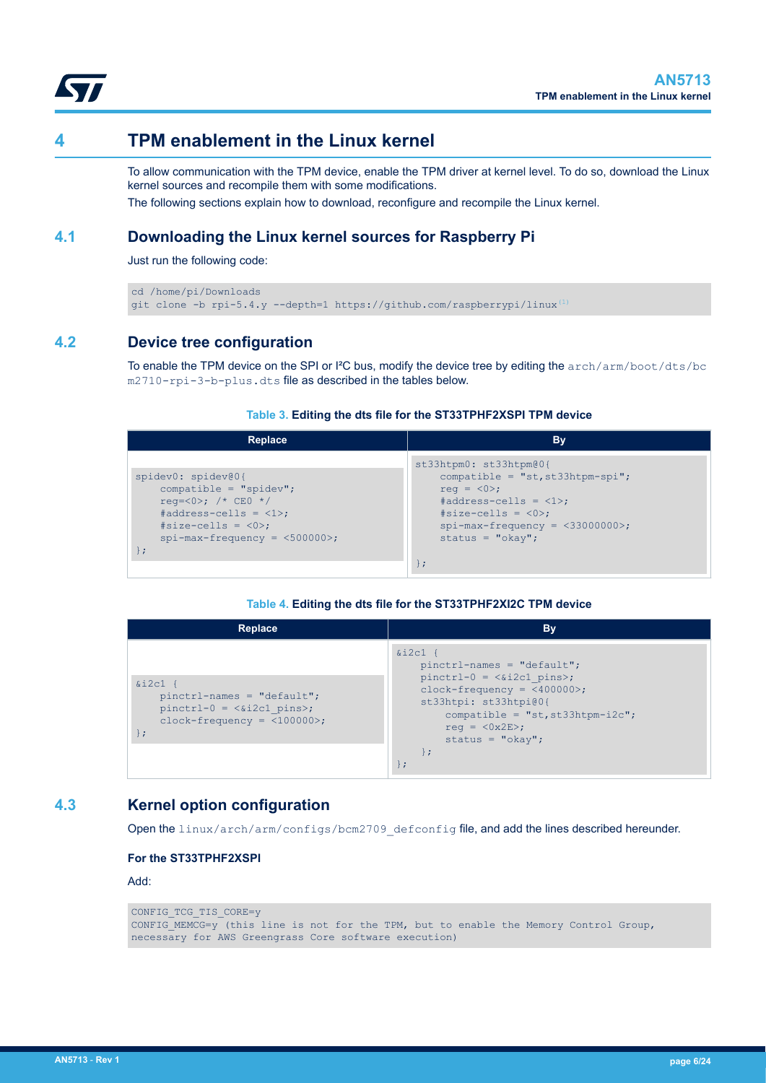

<span id="page-5-0"></span>

# **4 TPM enablement in the Linux kernel**

To allow communication with the TPM device, enable the TPM driver at kernel level. To do so, download the Linux kernel sources and recompile them with some modifications.

The following sections explain how to download, reconfigure and recompile the Linux kernel.

## **4.1 Downloading the Linux kernel sources for Raspberry Pi**

Just run the following code:

```
cd /home/pi/Downloads
git clone -b rpi-5.4.y --depth=1 https://github.com/raspberrypi/linux(1)
```
## **4.2 Device tree configuration**

To enable the TPM device on the SPI or I<sup>2</sup>C bus, modify the device tree by editing the  $\arctan/ \arctan/ \text{boot}/\text{dts}/\text{bc}$ m2710-rpi-3-b-plus.dts file as described in the tables below.

#### **Table 3. Editing the dts file for the ST33TPHF2XSPI TPM device**

| Replace                                                                                                                                                               | Bv                                                                                                                                                                                                                     |
|-----------------------------------------------------------------------------------------------------------------------------------------------------------------------|------------------------------------------------------------------------------------------------------------------------------------------------------------------------------------------------------------------------|
| spidev0: spidev@0{<br>compatible = " $spidev$ ";<br>$req = <0>;$ /* CEO */<br>$\#address-cells = <1>$ ;<br>$#size-cells = <0>$ ;<br>$spin-max-frequency = <500000>$ ; | st33htpm0: st33htpm@0{<br>compatible = " $st$ , $st33$ htpm- $spi$ ";<br>req = $\langle 0 \rangle$ ;<br>$#address-cells = <1>$ ;<br>$#size-cells = <0>$ ;<br>$spin-max-frequency = <33000000>$ ;<br>status = $"okay";$ |

#### **Table 4. Editing the dts file for the ST33TPHF2XI2C TPM device**

| Replace                                                                                                    | <b>By</b>                                                                                                                                                                                                                        |
|------------------------------------------------------------------------------------------------------------|----------------------------------------------------------------------------------------------------------------------------------------------------------------------------------------------------------------------------------|
| $&12c1$ {<br>$pinctr1-names = "default";$<br>$pinctrl-0 = \&i2c1 pins>;$<br>$clock-frequency = <100000>$ ; | $\&i2c1$ {<br>$pinctr1-names = "default";$<br>$pinctrl-0 = \&i2c1 pins>;$<br>$clock-frequency = <400000>$ ;<br>st33htpi: st33htpi@0{<br>compatible = $"st$ , st33htpm-i2c";<br>$req = <0x2E$ ;<br>status = $"okay";$<br>$\vdash$ |

### **4.3 Kernel option configuration**

Open the linux/arch/arm/configs/bcm2709\_defconfig file, and add the lines described hereunder.

#### **For the ST33TPHF2XSPI**

Add:

```
CONFIG TCG TIS CORE=y
CONFIG_MEMCG=y (this line is not for the TPM, but to enable the Memory Control Group, 
necessary for AWS Greengrass Core software execution)
```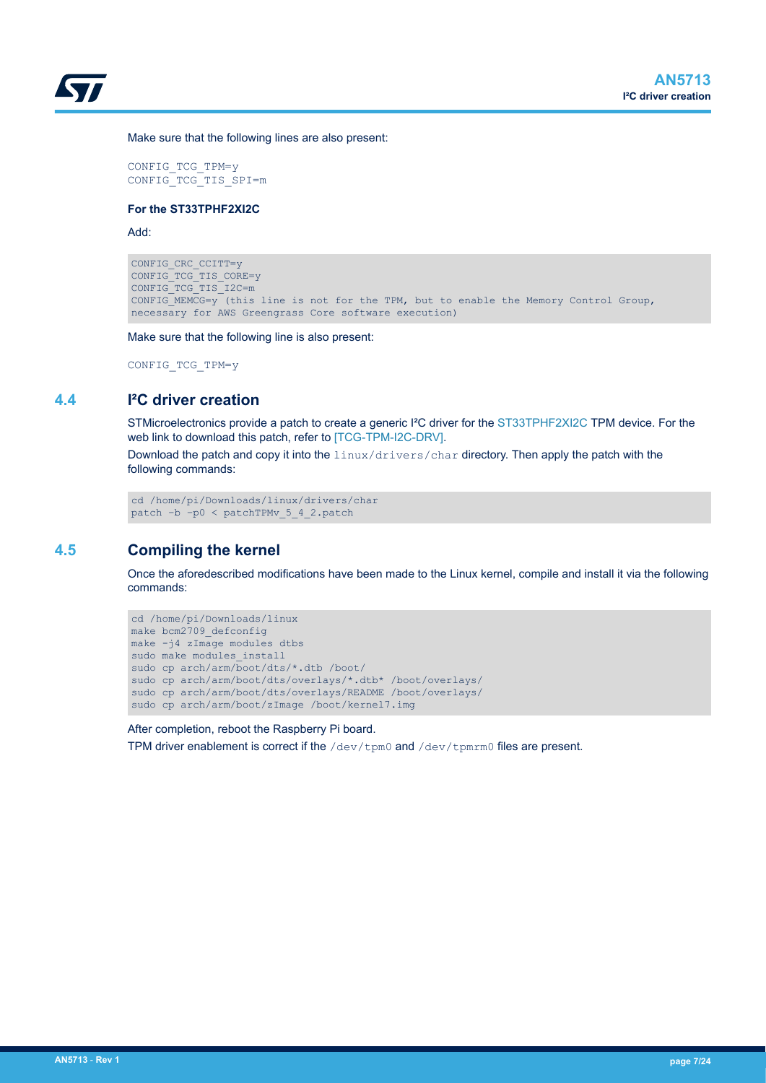<span id="page-6-0"></span>

Make sure that the following lines are also present:

CONFIG\_TCG\_TPM=y CONFIG\_TCG\_TIS\_SPI=m

#### **For the ST33TPHF2XI2C**

Add:

```
CONFIG CRC CCITT=y
CONFIG_TCG_TIS_CORE=y
CONFIG_TCG_TIS_I2C=m
CONFIG_MEMCG=y (this line is not for the TPM, but to enable the Memory Control Group, 
necessary for AWS Greengrass Core software execution)
```
Make sure that the following line is also present:

CONFIG\_TCG\_TPM=y

### **4.4 I²C driver creation**

STMicroelectronics provide a patch to create a generic I<sup>2</sup>C driver for the [ST33TPHF2XI2C](https://www.st.com/en/product/st33tphf2xi2c?ecmp=tt9470_gl_link_feb2019&rt=an&id=AN5713) TPM device. For the web link to download this patch, refer to [\[TCG-TPM-I2C-DRV\].](#page-2-0)

Download the patch and copy it into the linux/drivers/char directory. Then apply the patch with the following commands:

cd /home/pi/Downloads/linux/drivers/char patch –b –p0 < patchTPMv\_5\_4\_2.patch

## **4.5 Compiling the kernel**

Once the aforedescribed modifications have been made to the Linux kernel, compile and install it via the following commands:

```
cd /home/pi/Downloads/linux
make bcm2709_defconfig
make -i4 zImage modules dtbs
sudo make modules_install
sudo cp arch/arm/boot/dts/*.dtb /boot/
sudo cp arch/arm/boot/dts/overlays/*.dtb* /boot/overlays/
sudo cp arch/arm/boot/dts/overlays/README /boot/overlays/
sudo cp arch/arm/boot/zImage /boot/kernel7.img
```
After completion, reboot the Raspberry Pi board.

TPM driver enablement is correct if the  $/$ dev/tpm0 and  $/$ dev/tpm $rm$ 0 files are present.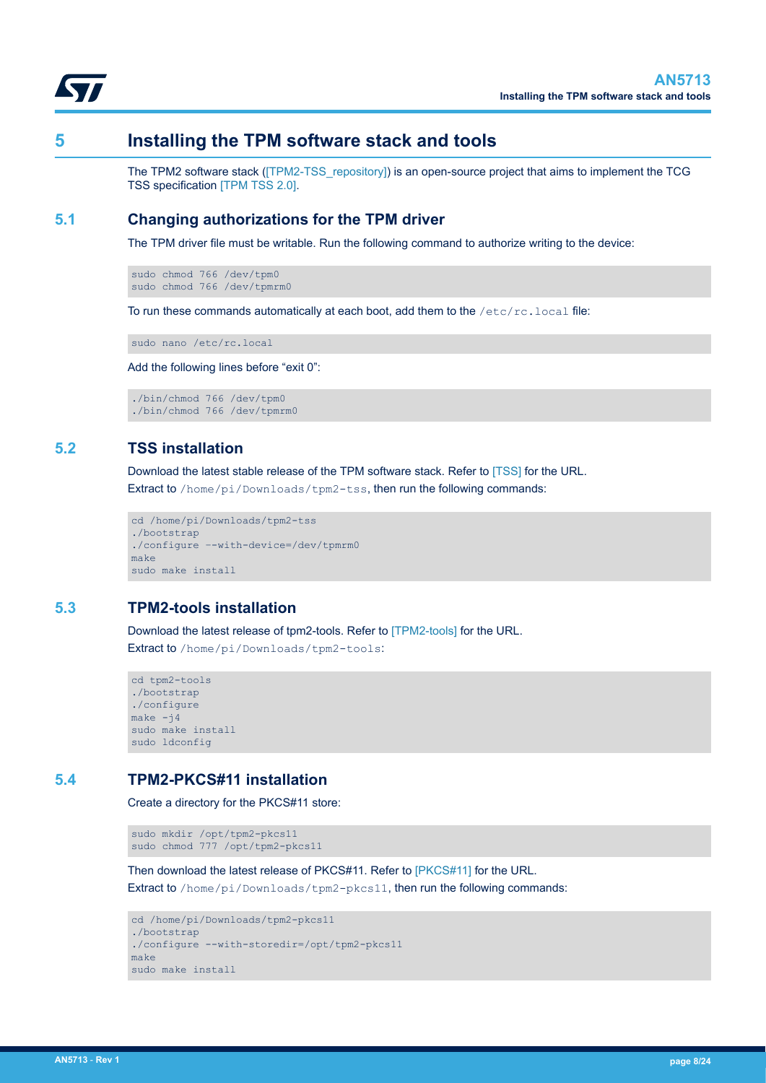<span id="page-7-0"></span>

## **5 Installing the TPM software stack and tools**

The TPM2 software stack ([\[TPM2-TSS\\_repository\]\)](#page-2-0) is an open-source project that aims to implement the TCG TSS specification [\[TPM TSS 2.0\]](#page-18-0).

### **5.1 Changing authorizations for the TPM driver**

The TPM driver file must be writable. Run the following command to authorize writing to the device:

sudo chmod 766 /dev/tpm0 sudo chmod 766 /dev/tpmrm0

To run these commands automatically at each boot, add them to the /etc/rc.local file:

sudo nano /etc/rc.local

Add the following lines before "exit 0":

./bin/chmod 766 /dev/tpm0 ./bin/chmod 766 /dev/tpmrm0

## **5.2 TSS installation**

Download the latest stable release of the TPM software stack. Refer to [\[TSS\]](#page-2-0) for the URL.

Extract to /home/pi/Downloads/tpm2-tss, then run the following commands:

```
cd /home/pi/Downloads/tpm2-tss
./bootstrap 
./configure –-with-device=/dev/tpmrm0
make
sudo make install
```
### **5.3 TPM2-tools installation**

Download the latest release of tpm2-tools. Refer to [\[TPM2-tools\]](#page-2-0) for the URL.

Extract to /home/pi/Downloads/tpm2-tools:

```
cd tpm2-tools
./bootstrap
./configure
make -j4sudo make install
sudo ldconfig
```
### **5.4 TPM2-PKCS#11 installation**

Create a directory for the PKCS#11 store:

```
sudo mkdir /opt/tpm2-pkcs11
sudo chmod 777 /opt/tpm2-pkcs11
```
Then download the latest release of PKCS#11. Refer to [\[PKCS#11\]](#page-2-0) for the URL.

Extract to /home/pi/Downloads/tpm2-pkcs11, then run the following commands:

```
cd /home/pi/Downloads/tpm2-pkcs11
./bootstrap
./configure --with-storedir=/opt/tpm2-pkcs11
make
sudo make install
```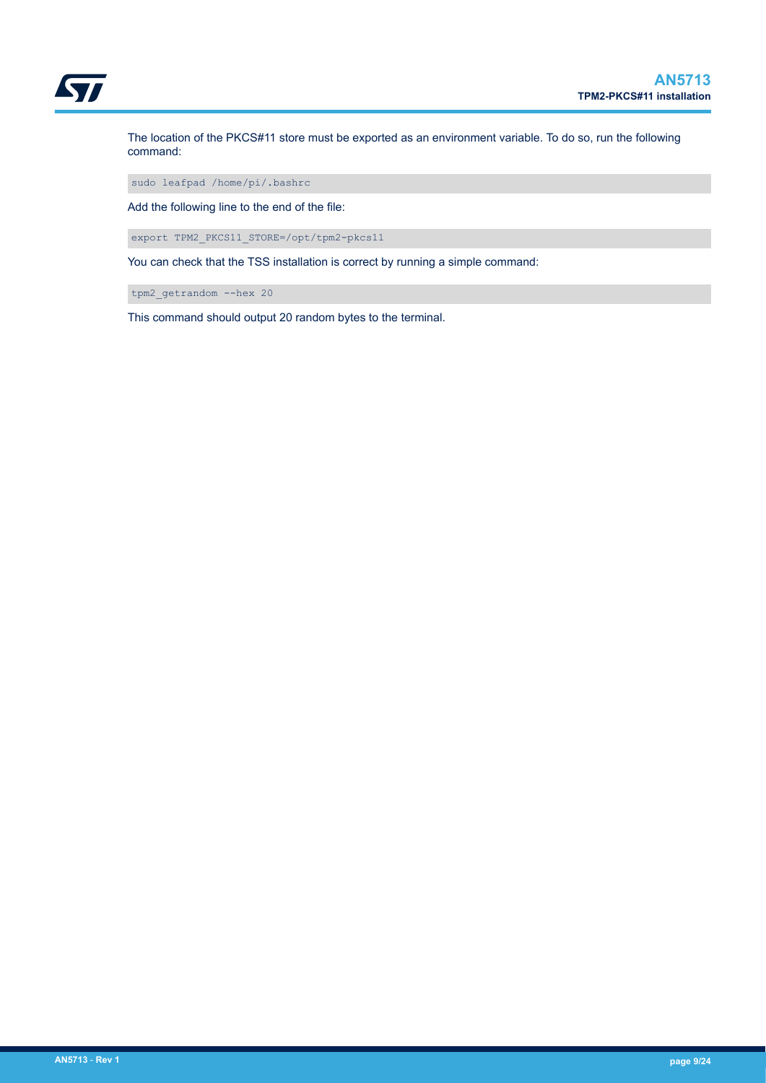

The location of the PKCS#11 store must be exported as an environment variable. To do so, run the following command:

sudo leafpad /home/pi/.bashrc

Add the following line to the end of the file:

export TPM2\_PKCS11\_STORE=/opt/tpm2-pkcs11

You can check that the TSS installation is correct by running a simple command:

tpm2\_getrandom --hex 20

This command should output 20 random bytes to the terminal.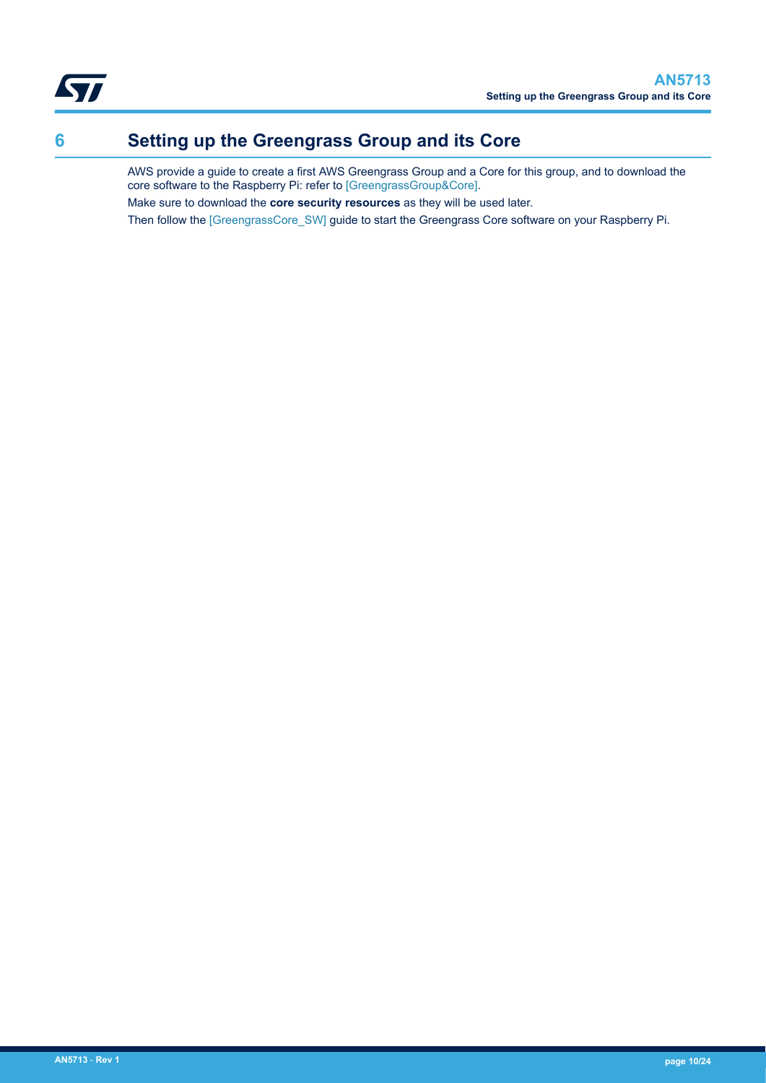

<span id="page-9-0"></span>

# **6 Setting up the Greengrass Group and its Core**

AWS provide a guide to create a first AWS Greengrass Group and a Core for this group, and to download the core software to the Raspberry Pi: refer to [\[GreengrassGroup&Core\]](#page-2-0). Make sure to download the **core security resources** as they will be used later. Then follow the [\[GreengrassCore\\_SW\]](#page-2-0) guide to start the Greengrass Core software on your Raspberry Pi.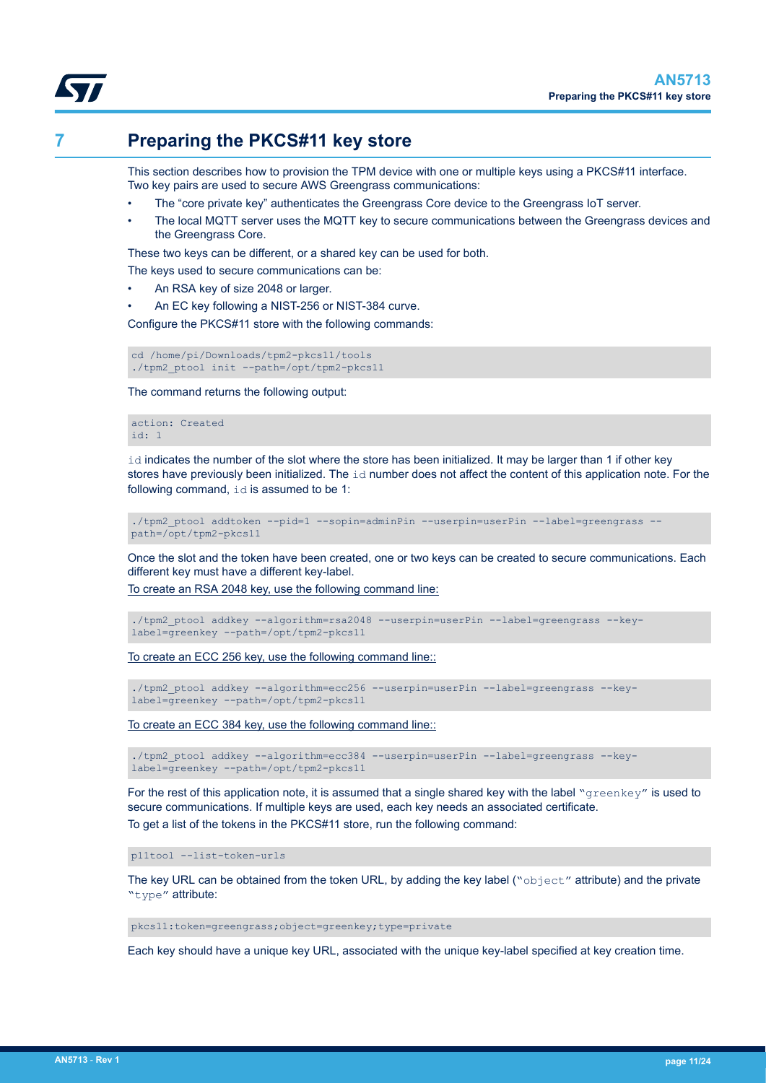<span id="page-10-0"></span>

# **7 Preparing the PKCS#11 key store**

This section describes how to provision the TPM device with one or multiple keys using a PKCS#11 interface. Two key pairs are used to secure AWS Greengrass communications:

- The "core private key" authenticates the Greengrass Core device to the Greengrass IoT server.
- The local MQTT server uses the MQTT key to secure communications between the Greengrass devices and the Greengrass Core.

These two keys can be different, or a shared key can be used for both.

The keys used to secure communications can be:

- An RSA key of size 2048 or larger.
- An EC key following a NIST-256 or NIST-384 curve.

Configure the PKCS#11 store with the following commands:

cd /home/pi/Downloads/tpm2-pkcs11/tools ./tpm2\_ptool init --path=/opt/tpm2-pkcs11

The command returns the following output:

action: Created id: 1

id indicates the number of the slot where the store has been initialized. It may be larger than 1 if other key stores have previously been initialized. The  $\pm d$  number does not affect the content of this application note. For the following command, id is assumed to be 1:

./tpm2 ptool addtoken --pid=1 --sopin=adminPin --userpin=userPin --label=greengrass -path=/opt/tpm2-pkcs11

Once the slot and the token have been created, one or two keys can be created to secure communications. Each different key must have a different key-label.

To create an RSA 2048 key, use the following command line:

./tpm2\_ptool addkey --algorithm=rsa2048 --userpin=userPin --label=greengrass --keylabel=greenkey --path=/opt/tpm2-pkcs11

To create an ECC 256 key, use the following command line::

./tpm2\_ptool addkey --algorithm=ecc256 --userpin=userPin --label=greengrass --keylabel=greenkey --path=/opt/tpm2-pkcs11

To create an ECC 384 key, use the following command line::

./tpm2 ptool addkey --algorithm=ecc384 --userpin=userPin --label=greengrass --keylabel=greenkey --path=/opt/tpm2-pkcs11

For the rest of this application note, it is assumed that a single shared key with the label "greenkey" is used to secure communications. If multiple keys are used, each key needs an associated certificate. To get a list of the tokens in the PKCS#11 store, run the following command:

p11tool --list-token-urls

The key URL can be obtained from the token URL, by adding the key label (" $\text{object}$ " attribute) and the private "type" attribute:

pkcs11:token=greengrass;object=greenkey;type=private

Each key should have a unique key URL, associated with the unique key-label specified at key creation time.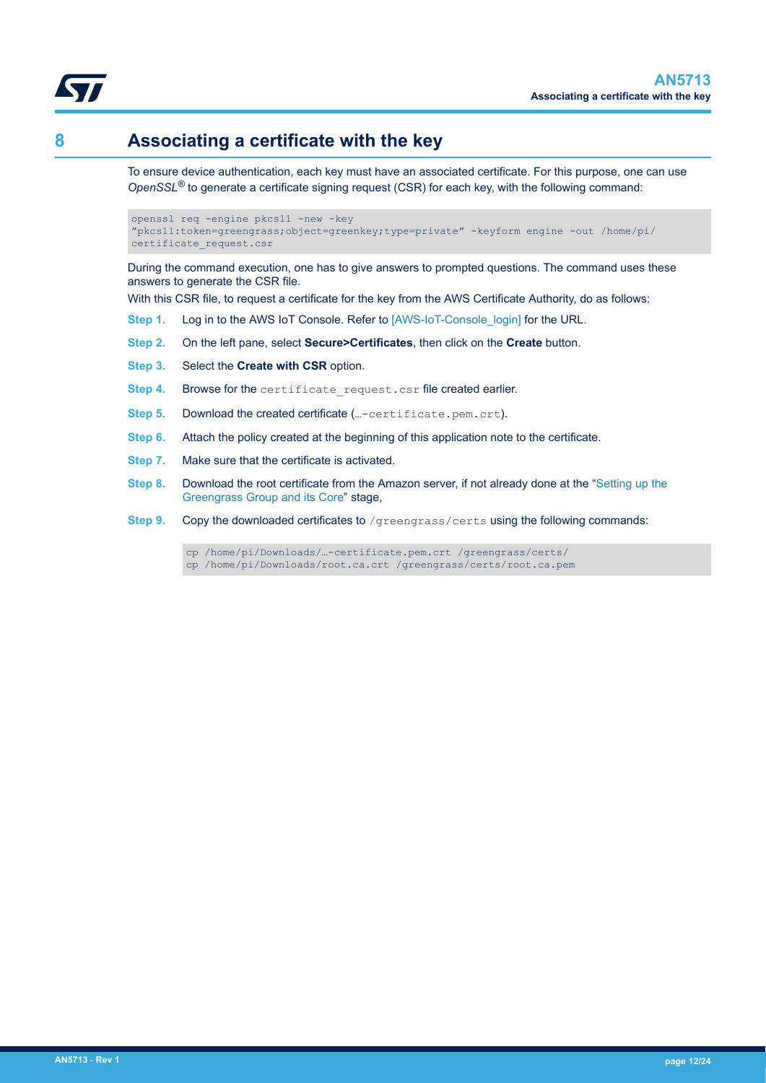

<span id="page-11-0"></span>

# **8 Associating a certificate with the key**

To ensure device authentication, each key must have an associated certificate. For this purpose, one can use *OpenSSL®* to generate a certificate signing request (CSR) for each key, with the following command:

```
openssl req -engine pkcs11 -new -key
"pkcs11:token=greengrass;object=greenkey;type=private" -keyform engine -out /home/pi/
certificate_request.csr
```
During the command execution, one has to give answers to prompted questions. The command uses these answers to generate the CSR file.

With this CSR file, to request a certificate for the key from the AWS Certificate Authority, do as follows:

- **Step 1.** Log in to the AWS IoT Console. Refer to [\[AWS-IoT-Console\\_login\]](#page-2-0) for the URL.
- **Step 2.** On the left pane, select **Secure>Certificates**, then click on the **Create** button.
- **Step 3.** Select the **Create with CSR** option.
- Step 4. Browse for the certificate request.csr file created earlier.
- **Step 5.** Download the created certificate (...-certificate.pem.crt).
- **Step 6.** Attach the policy created at the beginning of this application note to the certificate.
- **Step 7.** Make sure that the certificate is activated.
- **Step 8.** Download the root certificate from the Amazon server, if not already done at the ["Setting up the](#page-9-0) [Greengrass Group and its Core](#page-9-0)" stage,
- Step 9. Copy the downloaded certificates to /greengrass/certs using the following commands:

cp /home/pi/Downloads/…-certificate.pem.crt /greengrass/certs/ cp /home/pi/Downloads/root.ca.crt /greengrass/certs/root.ca.pem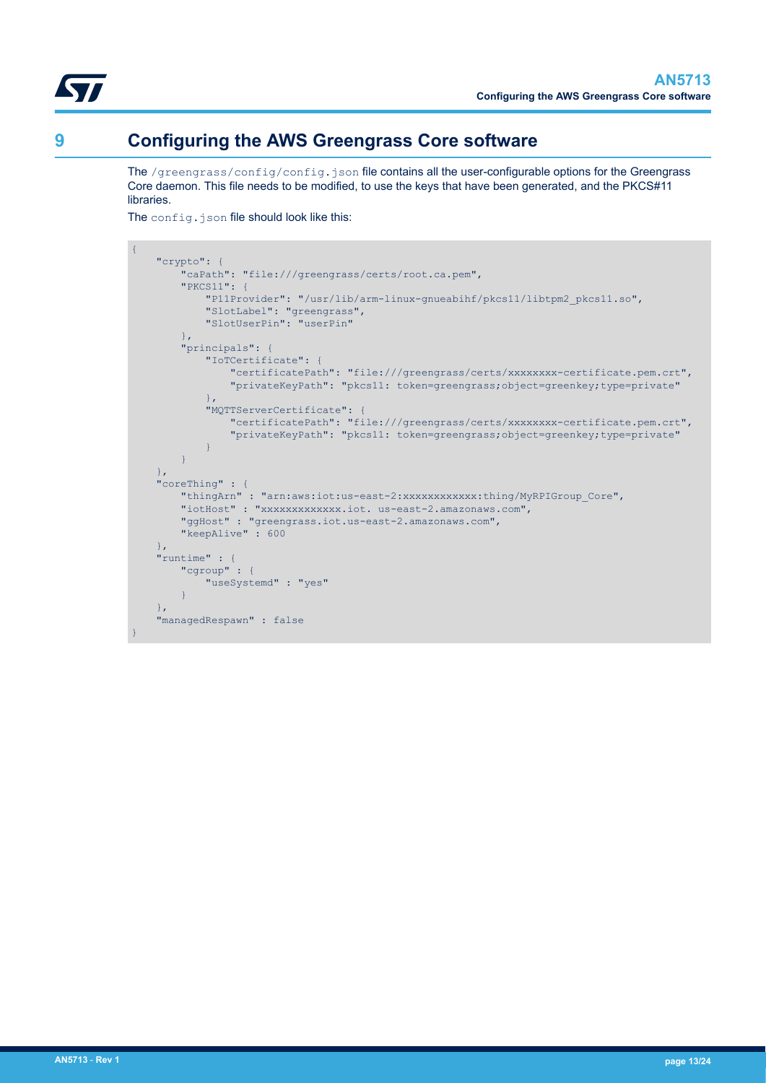<span id="page-12-0"></span>

# **9 Configuring the AWS Greengrass Core software**

The /greengrass/config/config.json file contains all the user-configurable options for the Greengrass Core daemon. This file needs to be modified, to use the keys that have been generated, and the PKCS#11 libraries.

The config.json file should look like this:

```
{
    "crypto": {
         "caPath": "file:///greengrass/certs/root.ca.pem",
         "PKCS11": {
             "P11Provider": "/usr/lib/arm-linux-gnueabihf/pkcs11/libtpm2_pkcs11.so",
             "SlotLabel": "greengrass",
             "SlotUserPin": "userPin"
         },
         "principals": {
             "IoTCertificate": {
                "certificatePath": "file:///greengrass/certs/xxxxxxxx-certificate.pem.crt",
                 "privateKeyPath": "pkcs11: token=greengrass;object=greenkey;type=private"
, where \mathbb{R} , we have \mathbb{R} , \mathbb{R} "MQTTServerCertificate": {
                "certificatePath": "file:///greengrass/certs/xxxxxxxx-certificate.pem.crt",
                 "privateKeyPath": "pkcs11: token=greengrass;object=greenkey;type=private"
 }
 }
    },
    "coreThing" : {
         "thingArn" : "arn:aws:iot:us-east-2:xxxxxxxxxxxx:thing/MyRPIGroup_Core",
         "iotHost" : "xxxxxxxxxxxxx.iot. us-east-2.amazonaws.com",
 "ggHost" : "greengrass.iot.us-east-2.amazonaws.com",
 "keepAlive" : 600
    },
    "runtime" : {
         "cgroup" : {
             "useSystemd" : "yes"
 }
     },
     "managedRespawn" : false
}
```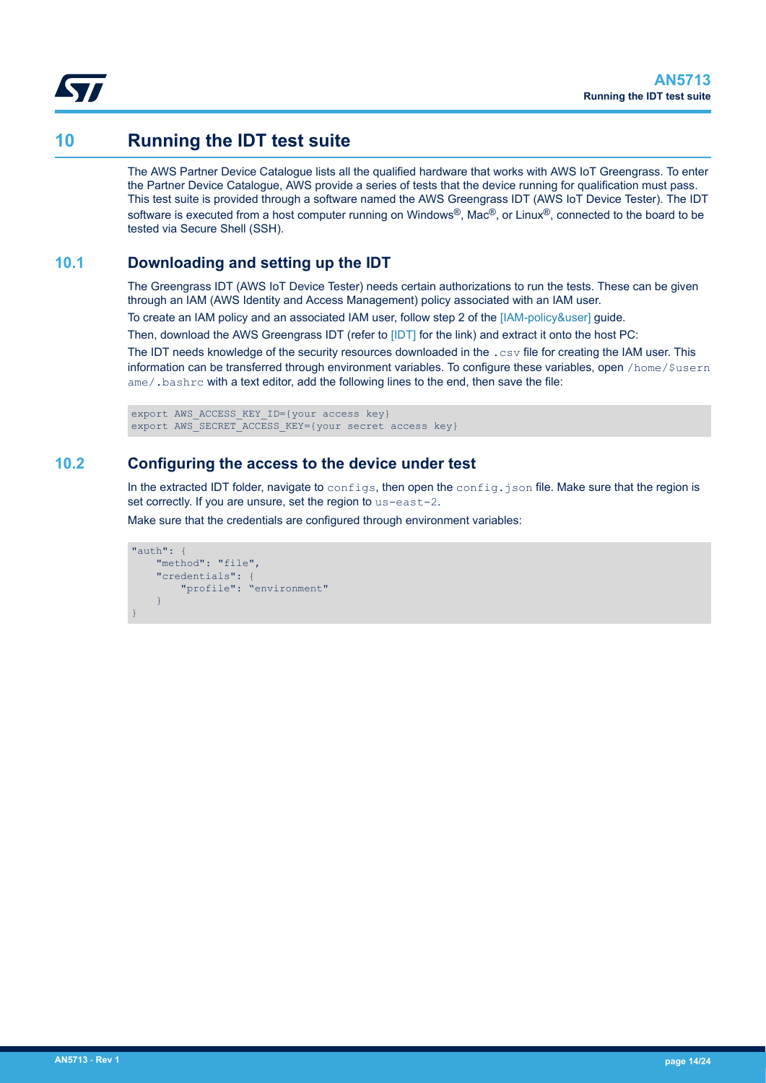<span id="page-13-0"></span>

## **10 Running the IDT test suite**

The AWS Partner Device Catalogue lists all the qualified hardware that works with AWS IoT Greengrass. To enter the Partner Device Catalogue, AWS provide a series of tests that the device running for qualification must pass. This test suite is provided through a software named the AWS Greengrass IDT (AWS IoT Device Tester). The IDT software is executed from a host computer running on Windows®, Mac®, or Linux®, connected to the board to be tested via Secure Shell (SSH).

## **10.1 Downloading and setting up the IDT**

The Greengrass IDT (AWS IoT Device Tester) needs certain authorizations to run the tests. These can be given through an IAM (AWS Identity and Access Management) policy associated with an IAM user.

To create an IAM policy and an associated IAM user, follow step 2 of the [\[IAM-policy&user\]](#page-2-0) guide.

Then, download the AWS Greengrass IDT (refer to [\[IDT\]](#page-2-0) for the link) and extract it onto the host PC:

The IDT needs knowledge of the security resources downloaded in the .csv file for creating the IAM user. This information can be transferred through environment variables. To configure these variables, open /home/\$usern ame/.bashrc with a text editor, add the following lines to the end, then save the file:

export AWS\_ACCESS\_KEY\_ID={your access key} export AWS SECRET ACCESS KEY={your secret access key}

## **10.2 Configuring the access to the device under test**

In the extracted IDT folder, navigate to configs, then open the config.json file. Make sure that the region is set correctly. If you are unsure, set the region to us-east-2.

Make sure that the credentials are configured through environment variables:

```
"auth": {
        "method": "file",
        "credentials": {
               "profile": "environment"
\left\{\begin{array}{cc} 1 & 1 \\ 1 & 1 \end{array}\right\}}
```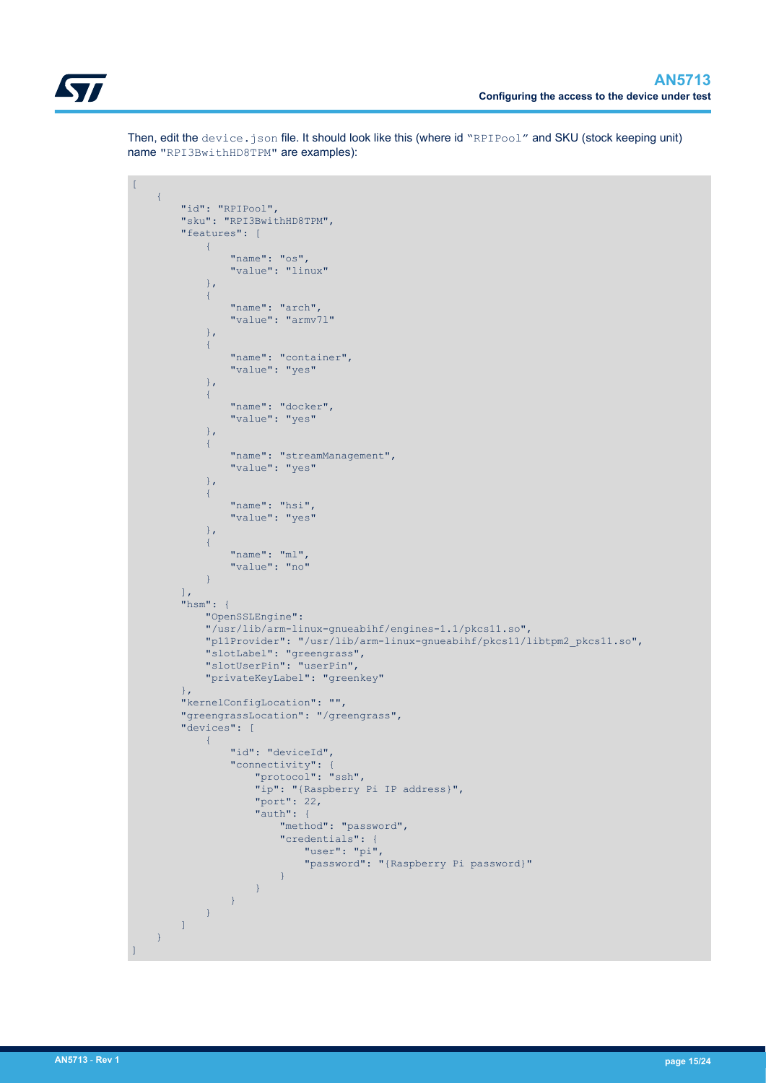

Then, edit the device.json file. It should look like this (where id "RPIPool" and SKU (stock keeping unit) name "RPI3BwithHD8TPM" are examples):

```
\mathbf{r}\left\{ \right. "id": "RPIPool",
               "sku": "RPI3BwithHD8TPM",
                "features": [
                      \left\{ \right. "name": "os",
                               "value": "linux"
                        },
{1 \over 2} ( {1 \over 2} ) {1 \over 2} ( {1 \over 2} ) {1 \over 2} ( {1 \over 2} ) {1 \over 2} "name": "arch",
                               "value": "armv7l"
                        },
{1\over 2} ( {1\over 2} ) {1\over 2} ( {1\over 2} ) {1\over 2} ( {1\over 2} ) {1\over 2} "name": "container",
                               "value": "yes"
                        },
{1\over 2} ( {1\over 2} ) {1\over 2} ( {1\over 2} ) {1\over 2} ( {1\over 2} ) {1\over 2} "name": "docker",
                                "value": "yes"
                        },
{1 \over 2} ( {1 \over 2} ) {1 \over 2} ( {1 \over 2} ) {1 \over 2} ( {1 \over 2} ) {1 \over 2} "name": "streamManagement",
                               "value": "yes"
                        },
{1\over 2} ( {1\over 2} ) {1\over 2} ( {1\over 2} ) {1\over 2} ( {1\over 2} ) {1\over 2} "name": "hsi",
                               "value": "yes"
                        },
{1 \over 2} ( {1 \over 2} ) {1 \over 2} ( {1 \over 2} ) {1 \over 2} ( {1 \over 2} ) {1 \over 2} "name": "ml",
                       "value": "no"
 }
               \frac{1}{2},
                "hsm": {
                       "OpenSSLEngine":
                       "/usr/lib/arm-linux-gnueabihf/engines-1.1/pkcs11.so",
                        "p11Provider": "/usr/lib/arm-linux-gnueabihf/pkcs11/libtpm2_pkcs11.so",
                       "slotLabel": "greengrass",
                       "slotUserPin": "userPin",
                       "privateKeyLabel": "greenkey"
                },
                "kernelConfigLocation": "",
                "greengrassLocation": "/greengrass",
                "devices": [
                      \left\{ \right. "id": "deviceId",
                                "connectivity": {
                                       "protocol": "ssh",
                                       "ip": "{Raspberry Pi IP address}",
                                       "port": 22,
                                       "auth": {
                                              "method": "password",
                                               "credentials": {
                                                      "user": "pi",
                                                      "password": "{Raspberry Pi password}"
}<br>}<br>{
denotes the control of the state of the state of the state of the state of the state of the state of the state of the state of the state of the state of the state of the state of the state of the state of the state of the 
                   \begin{array}{c} \begin{array}{c} \text{ } \\ \text{ } \\ \text{ } \\ \text{ } \end{array} \end{array} }
[[[[[[[[[[[]]]]]
\left\{\begin{array}{cc} 1 & 1 \\ 1 & 1 \end{array}\right\}]
```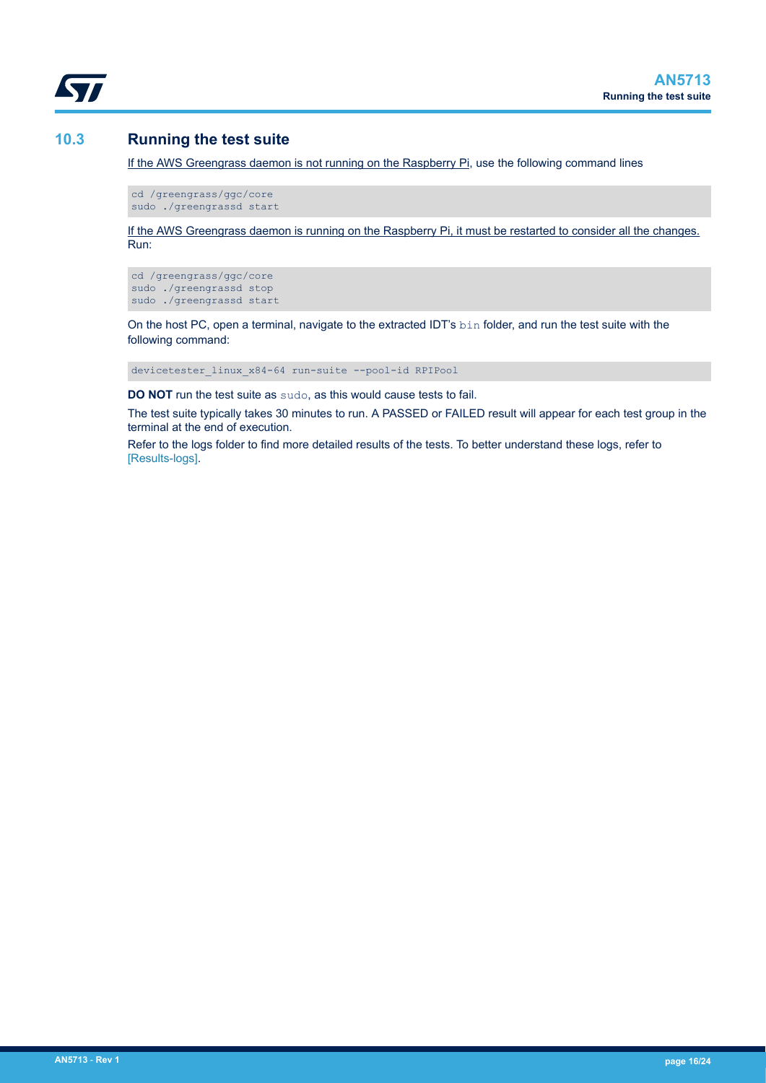<span id="page-15-0"></span>

## **10.3 Running the test suite**

If the AWS Greengrass daemon is not running on the Raspberry Pi, use the following command lines

cd /greengrass/ggc/core sudo ./greengrassd start

If the AWS Greengrass daemon is running on the Raspberry Pi, it must be restarted to consider all the changes. Run:

cd /greengrass/ggc/core sudo ./greengrassd stop sudo ./greengrassd start

On the host PC, open a terminal, navigate to the extracted IDT's bin folder, and run the test suite with the following command:

devicetester\_linux\_x84-64 run-suite --pool-id RPIPool

**DO NOT** run the test suite as sudo, as this would cause tests to fail.

The test suite typically takes 30 minutes to run. A PASSED or FAILED result will appear for each test group in the terminal at the end of execution.

Refer to the logs folder to find more detailed results of the tests. To better understand these logs, refer to [\[Results-logs\].](#page-2-0)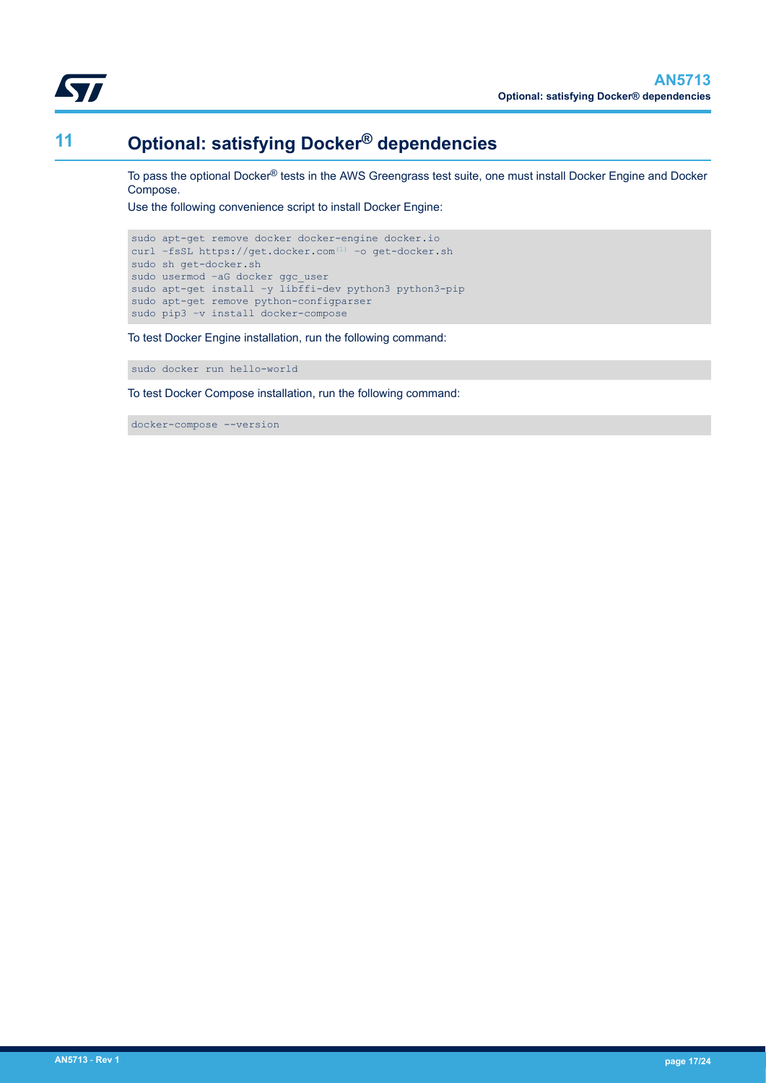<span id="page-16-0"></span>

# **11 Optional: satisfying Docker® dependencies**

To pass the optional Docker® tests in the AWS Greengrass test suite, one must install Docker Engine and Docker Compose.

Use the following convenience script to install Docker Engine:

```
sudo apt-get remove docker docker-engine docker.io
(1)</sup> -o get-docker.sh
sudo sh get-docker.sh
sudo usermod -aG docker ggc user
sudo apt-get install –y libffi-dev python3 python3-pip
sudo apt-get remove python-configparser
sudo pip3 -v install docker-compose
```
To test Docker Engine installation, run the following command:

sudo docker run hello-world

To test Docker Compose installation, run the following command:

docker-compose --version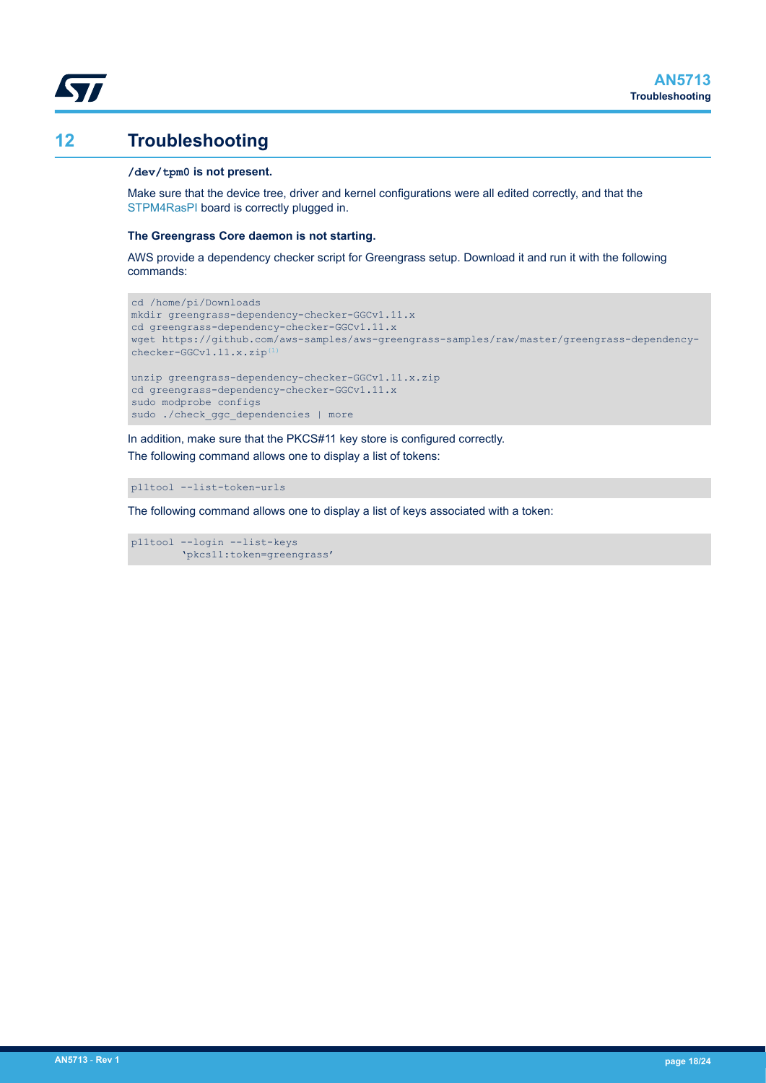## <span id="page-17-0"></span>**12 Troubleshooting**

#### **/dev/tpm0 is not present.**

Make sure that the device tree, driver and kernel configurations were all edited correctly, and that the [STPM4RasPI](https://www.st.com/en/product/stpm4raspi?ecmp=tt9470_gl_link_feb2019&rt=an&id=AN5713) board is correctly plugged in.

#### **The Greengrass Core daemon is not starting.**

AWS provide a dependency checker script for Greengrass setup. Download it and run it with the following commands:

```
cd /home/pi/Downloads
mkdir greengrass-dependency-checker-GGCv1.11.x
cd greengrass-dependency-checker-GGCv1.11.x
wget https://github.com/aws-samples/aws-greengrass-samples/raw/master/greengrass-dependency-
checker-GGCv1.11.x.zip<sup>(1</sup>)
unzip greengrass-dependency-checker-GGCv1.11.x.zip
cd greengrass-dependency-checker-GGCv1.11.x
sudo modprobe configs
sudo ./check_ggc_dependencies | more
```
In addition, make sure that the PKCS#11 key store is configured correctly. The following command allows one to display a list of tokens:

```
p11tool --list-token-urls
```
The following command allows one to display a list of keys associated with a token:

p11tool --login --list-keys 'pkcs11:token=greengrass'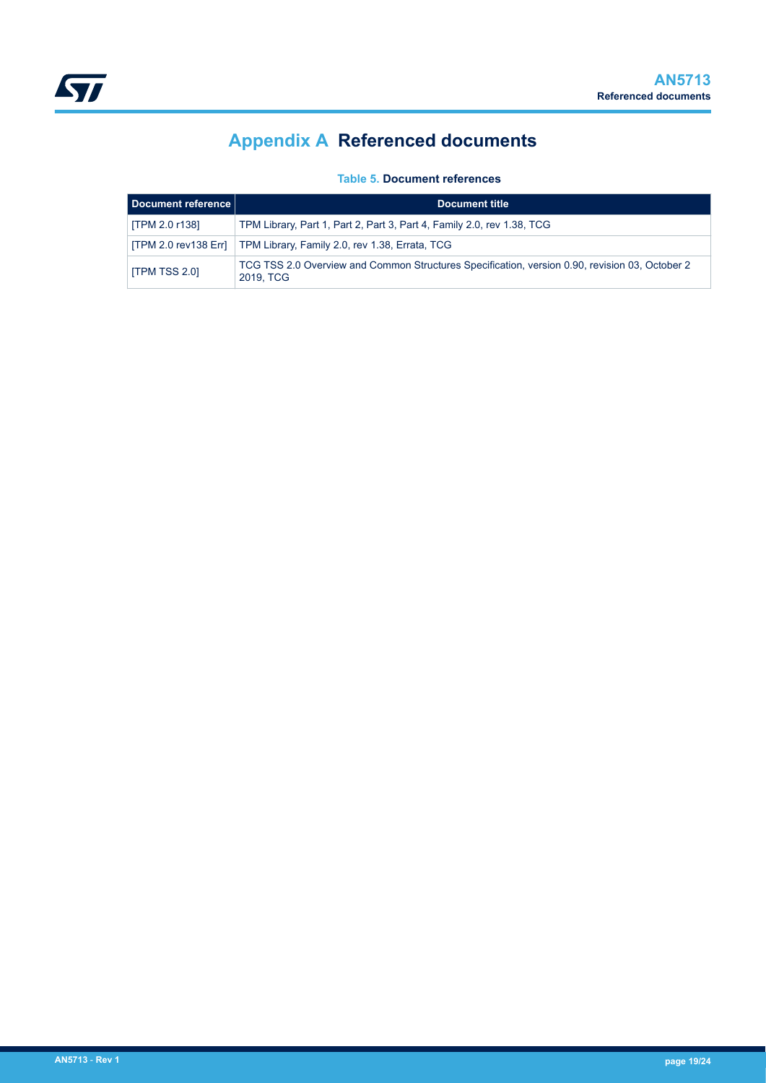# **Appendix A Referenced documents**

**Table 5. Document references**

<span id="page-18-0"></span>

| Document reference   | Document title                                                                                              |
|----------------------|-------------------------------------------------------------------------------------------------------------|
| ITPM 2.0 r138]       | TPM Library, Part 1, Part 2, Part 3, Part 4, Family 2.0, rev 1.38, TCG                                      |
|                      | [TPM 2.0 rev138 Err]   TPM Library, Family 2.0, rev 1.38, Errata, TCG                                       |
| <b>ITPM TSS 2.01</b> | TCG TSS 2.0 Overview and Common Structures Specification, version 0.90, revision 03, October 2<br>2019. TCG |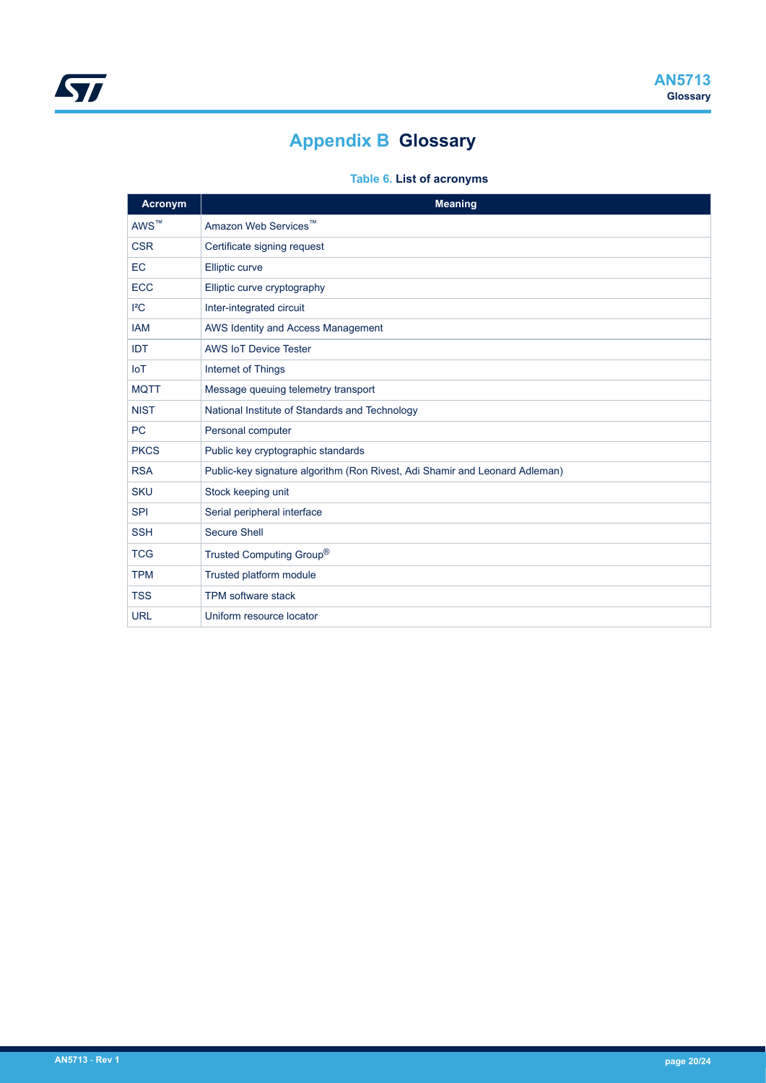# **Appendix B Glossary**

## **Table 6. List of acronyms**

<span id="page-19-0"></span>

| Acronym          | <b>Meaning</b>                                                              |
|------------------|-----------------------------------------------------------------------------|
| AWS <sup>™</sup> | Amazon Web Services <sup>™</sup>                                            |
| <b>CSR</b>       | Certificate signing request                                                 |
| EC               | Elliptic curve                                                              |
| <b>ECC</b>       | Elliptic curve cryptography                                                 |
| ${}^{12}C$       | Inter-integrated circuit                                                    |
| <b>IAM</b>       | AWS Identity and Access Management                                          |
| IDT              | <b>AWS IoT Device Tester</b>                                                |
| <b>IoT</b>       | Internet of Things                                                          |
| <b>MQTT</b>      | Message queuing telemetry transport                                         |
| <b>NIST</b>      | National Institute of Standards and Technology                              |
| <b>PC</b>        | Personal computer                                                           |
| <b>PKCS</b>      | Public key cryptographic standards                                          |
| <b>RSA</b>       | Public-key signature algorithm (Ron Rivest, Adi Shamir and Leonard Adleman) |
| <b>SKU</b>       | Stock keeping unit                                                          |
| <b>SPI</b>       | Serial peripheral interface                                                 |
| <b>SSH</b>       | <b>Secure Shell</b>                                                         |
| <b>TCG</b>       | Trusted Computing Group®                                                    |
| <b>TPM</b>       | Trusted platform module                                                     |
| <b>TSS</b>       | TPM software stack                                                          |
| <b>URL</b>       | Uniform resource locator                                                    |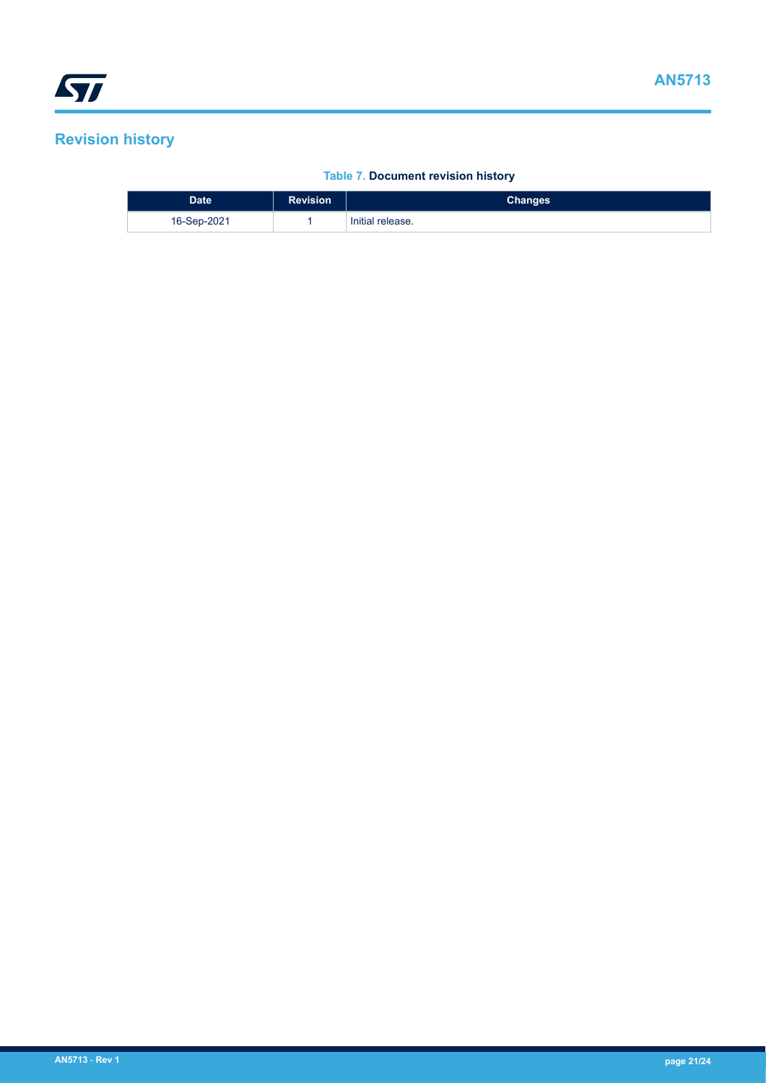# <span id="page-20-0"></span>**Revision history**

#### **Table 7. Document revision history**

| <b>Date</b> | <b>Revision</b> | <b>Changes</b>   |
|-------------|-----------------|------------------|
| 16-Sep-2021 |                 | Initial release. |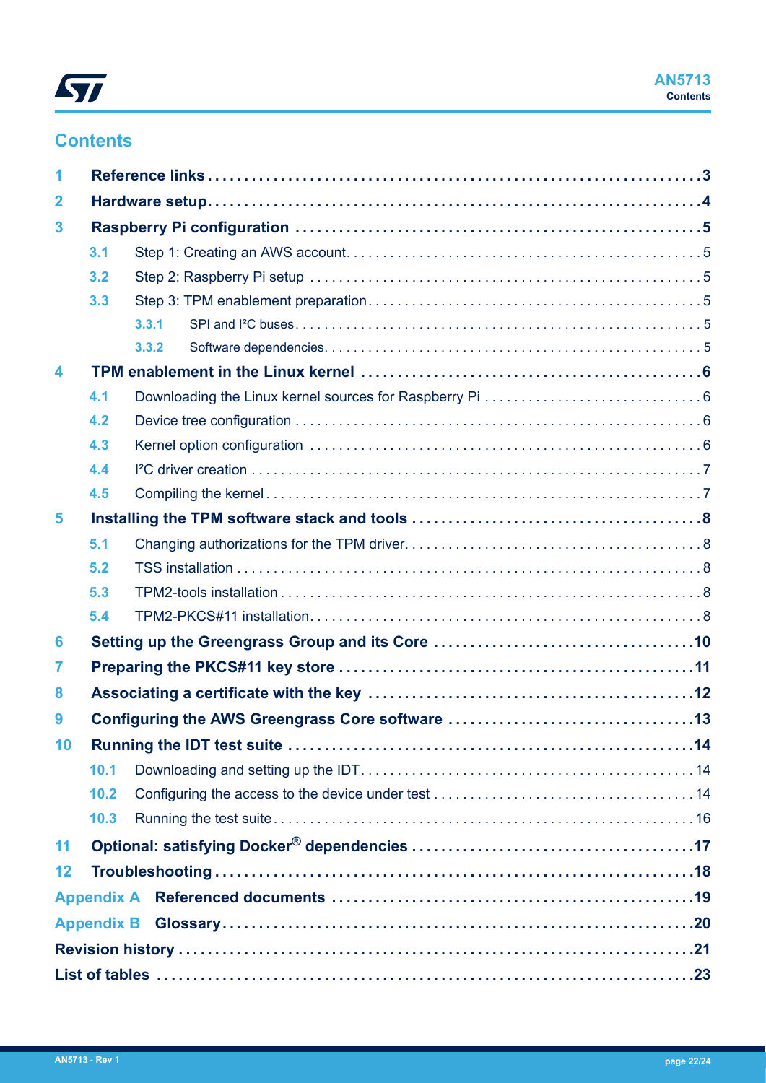

# **Contents**

| 1            |                   | Reference links…………………………………………………………………………3 |  |
|--------------|-------------------|----------------------------------------------|--|
| $\mathbf{2}$ |                   |                                              |  |
| 3            |                   |                                              |  |
|              | 3.1               |                                              |  |
|              | 3.2               |                                              |  |
|              | 3.3               |                                              |  |
|              |                   | 3.3.1                                        |  |
|              |                   | 3.3.2                                        |  |
| 4            |                   |                                              |  |
|              | 4.1               |                                              |  |
|              | 4.2               |                                              |  |
|              | 4.3               |                                              |  |
|              | 4.4               |                                              |  |
|              | 4.5               |                                              |  |
| 5            |                   |                                              |  |
|              | 5.1               |                                              |  |
|              | 5.2               |                                              |  |
|              | 5.3               |                                              |  |
|              | 5.4               |                                              |  |
| 6            |                   |                                              |  |
| 7            |                   |                                              |  |
| 8            |                   |                                              |  |
| 9            |                   |                                              |  |
| 10           |                   |                                              |  |
|              | 10.1              |                                              |  |
|              | 10.2              |                                              |  |
|              | 10.3              |                                              |  |
| 11           |                   |                                              |  |
| 12           |                   |                                              |  |
|              |                   |                                              |  |
|              | <b>Appendix B</b> |                                              |  |
|              |                   |                                              |  |
|              |                   |                                              |  |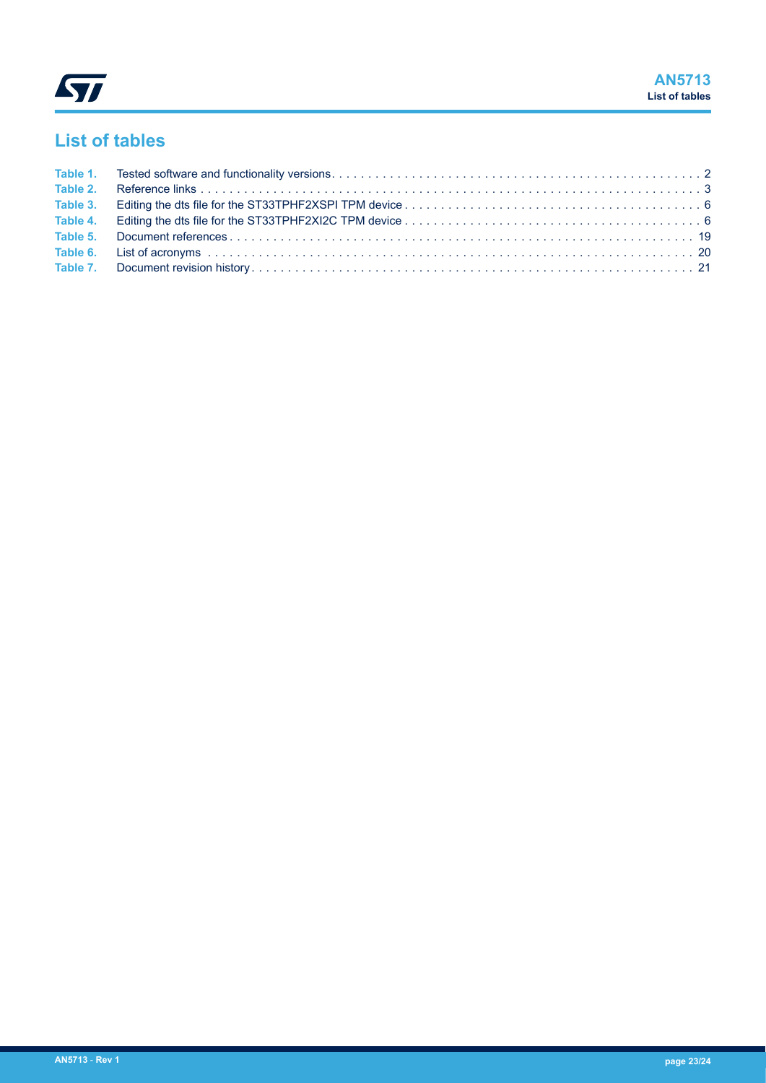# <span id="page-22-0"></span>**List of tables**